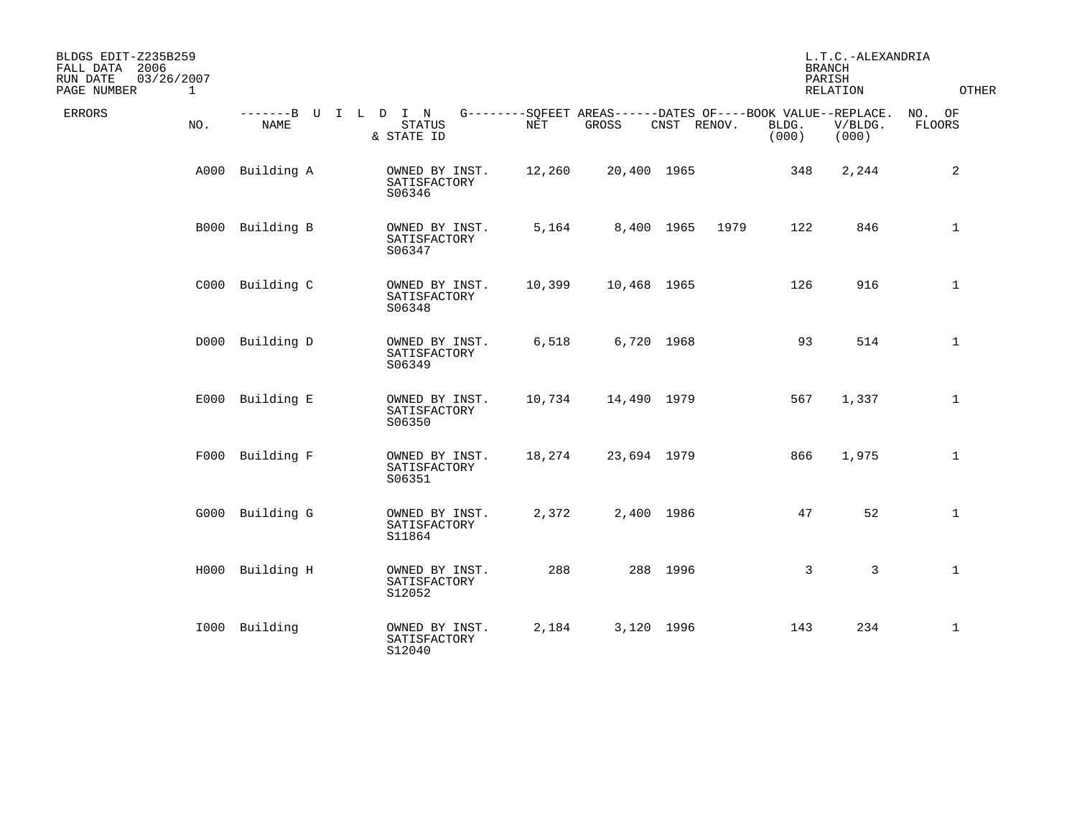| BLDGS EDIT-Z235B259<br>FALL DATA 2006<br>RUN DATE<br>PAGE NUMBER | 03/26/2007<br>$\mathbf{1}$ |                                     |  |                                          |        |                                                                      |             |      | <b>BRANCH</b><br>PARISH | L.T.C.-ALEXANDRIA<br>RELATION | <b>OTHER</b>            |
|------------------------------------------------------------------|----------------------------|-------------------------------------|--|------------------------------------------|--------|----------------------------------------------------------------------|-------------|------|-------------------------|-------------------------------|-------------------------|
| <b>ERRORS</b>                                                    | NO.                        | -------B U I L D I N<br><b>NAME</b> |  | <b>STATUS</b><br>& STATE ID              | NET    | G--------SQFEET AREAS------DATES OF----BOOK VALUE--REPLACE.<br>GROSS | CNST RENOV. |      | BLDG.<br>(000)          | V/BLDG.<br>(000)              | NO. OF<br><b>FLOORS</b> |
|                                                                  | A000                       | Building A                          |  | OWNED BY INST.<br>SATISFACTORY<br>S06346 | 12,260 | 20,400 1965                                                          |             |      | 348                     | 2,244                         | 2                       |
|                                                                  |                            | B000 Building B                     |  | OWNED BY INST.<br>SATISFACTORY<br>S06347 | 5,164  |                                                                      | 8,400 1965  | 1979 | 122                     | 846                           | $\mathbf{1}$            |
|                                                                  |                            | C000 Building C                     |  | OWNED BY INST.<br>SATISFACTORY<br>S06348 | 10,399 | 10,468 1965                                                          |             |      | 126                     | 916                           | $\mathbf{1}$            |
|                                                                  |                            | D000 Building D                     |  | OWNED BY INST.<br>SATISFACTORY<br>S06349 | 6,518  |                                                                      | 6,720 1968  |      | 93                      | 514                           | $\mathbf{1}$            |
|                                                                  |                            | E000 Building E                     |  | OWNED BY INST.<br>SATISFACTORY<br>S06350 | 10,734 | 14,490 1979                                                          |             |      | 567                     | 1,337                         | $\mathbf{1}$            |
|                                                                  |                            | F000 Building F                     |  | OWNED BY INST.<br>SATISFACTORY<br>S06351 | 18,274 | 23,694 1979                                                          |             |      | 866                     | 1,975                         | $\mathbf{1}$            |
|                                                                  |                            | G000 Building G                     |  | OWNED BY INST.<br>SATISFACTORY<br>S11864 | 2,372  |                                                                      | 2,400 1986  |      | 47                      | 52                            | $\mathbf 1$             |
|                                                                  |                            | H000 Building H                     |  | OWNED BY INST.<br>SATISFACTORY<br>S12052 | 288    |                                                                      | 288 1996    |      | $\mathbf{3}$            | 3                             | $\mathbf{1}$            |
|                                                                  |                            | I000 Building                       |  | OWNED BY INST.<br>SATISFACTORY<br>S12040 | 2,184  |                                                                      | 3,120 1996  |      | 143                     | 234                           | $\mathbf{1}$            |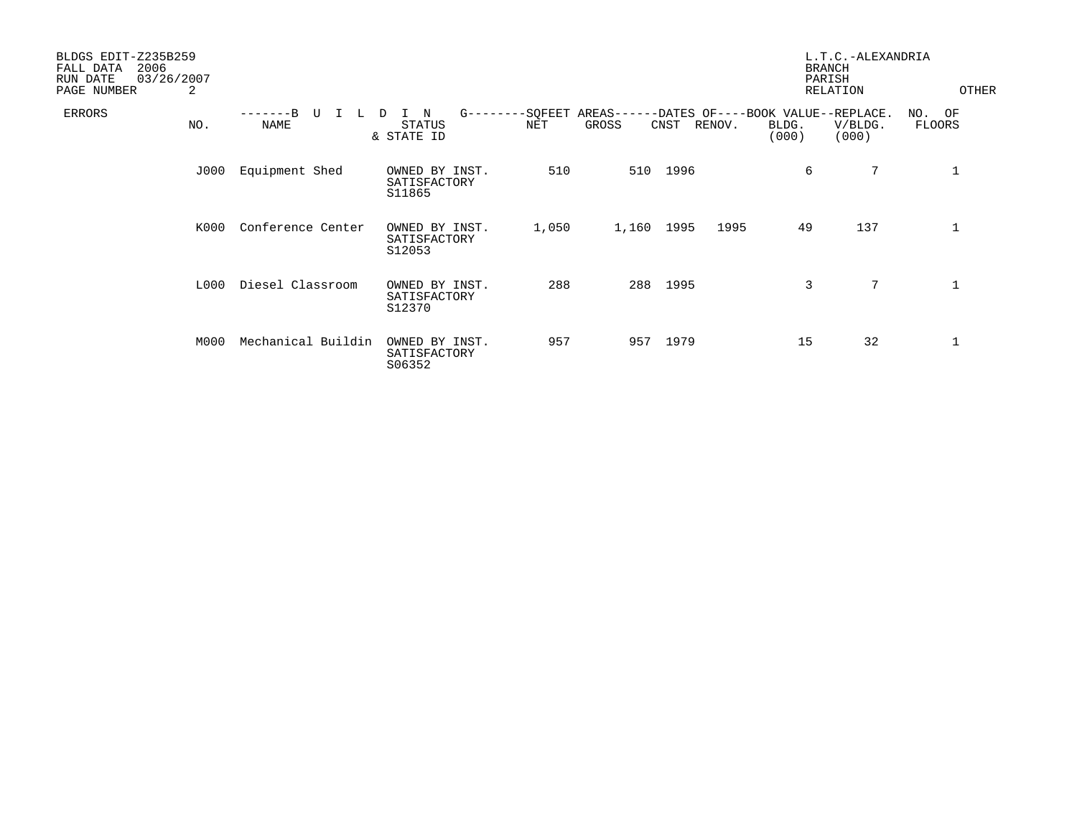| BLDGS EDIT-Z235B259<br>2006<br>FALL DATA<br>03/26/2007<br>RUN DATE<br>2<br>PAGE NUMBER |                               |                                          |       |                                    |      |                                                               | <b>BRANCH</b><br>PARISH<br>RELATION | L.T.C.-ALEXANDRIA | OTHER                   |
|----------------------------------------------------------------------------------------|-------------------------------|------------------------------------------|-------|------------------------------------|------|---------------------------------------------------------------|-------------------------------------|-------------------|-------------------------|
| ERRORS<br>NO.                                                                          | $-R$<br>U<br>L<br><b>NAME</b> | N<br>D<br><b>STATUS</b><br>& STATE ID    | NET   | G--------SQFEET AREAS----<br>GROSS | CNST | -DATES OF----BOOK VALUE--REPLACE.<br>RENOV.<br>BLDG.<br>(000) |                                     | V/BLDG.<br>(000)  | NO. OF<br><b>FLOORS</b> |
| J000                                                                                   | Equipment Shed                | OWNED BY INST.<br>SATISFACTORY<br>S11865 | 510   | 510                                | 1996 |                                                               | 6                                   | 7                 | 1                       |
| K000                                                                                   | Conference Center             | OWNED BY INST.<br>SATISFACTORY<br>S12053 | 1,050 | 1,160                              | 1995 | 1995                                                          | 49                                  | 137               | 1                       |
| L000                                                                                   | Diesel Classroom              | OWNED BY INST.<br>SATISFACTORY<br>S12370 | 288   | 288                                | 1995 |                                                               | 3                                   | $7\phantom{.0}$   | $\mathbf 1$             |
| M000                                                                                   | Mechanical Buildin            | OWNED BY INST.<br>SATISFACTORY<br>S06352 | 957   | 957                                | 1979 |                                                               | 15                                  | 32                | 1                       |